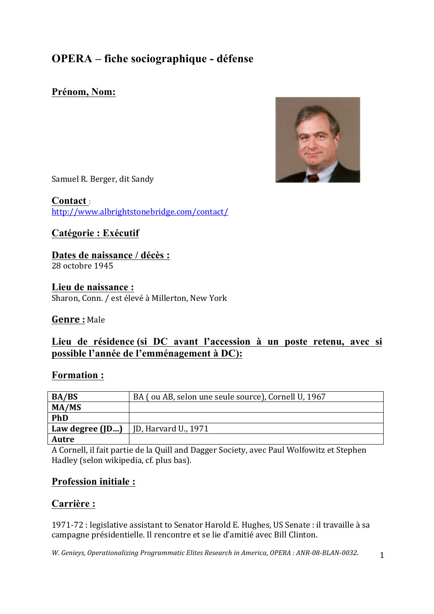## **OPERA – fiche sociographique - défense**

### **Prénom, Nom:**



Samuel R. Berger, dit Sandy

**Contact** : http://www.albrightstonebridge.com/contact/

### **Catégorie : Exécutif**

### **Dates de naissance / décès :**

28 octobre 1945

**Lieu de naissance :** Sharon, Conn. / est élevé à Millerton, New York

### **Genre :** Male

### **Lieu de résidence (si DC avant l'accession à un poste retenu, avec si possible l'année de l'emménagement à DC):**

### **Formation :**

| <b>BA/BS</b> | BA (ou AB, selon une seule source), Cornell U, 1967 |
|--------------|-----------------------------------------------------|
| MA/MS        |                                                     |
| <b>PhD</b>   |                                                     |
|              | <b>Law degree (JD)</b>   JD, Harvard U., 1971       |
| Autre        |                                                     |

A Cornell, il fait partie de la Quill and Dagger Society, avec Paul Wolfowitz et Stephen Hadley (selon wikipedia, cf. plus bas).

### **Profession initiale :**

### **Carrière :**

1971-72 : legislative assistant to Senator Harold E. Hughes, US Senate : il travaille à sa campagne présidentielle. Il rencontre et se lie d'amitié avec Bill Clinton.

*W.* Genieys, Operationalizing Programmatic Elites Research in America, OPERA : ANR-08-BLAN-0032. 1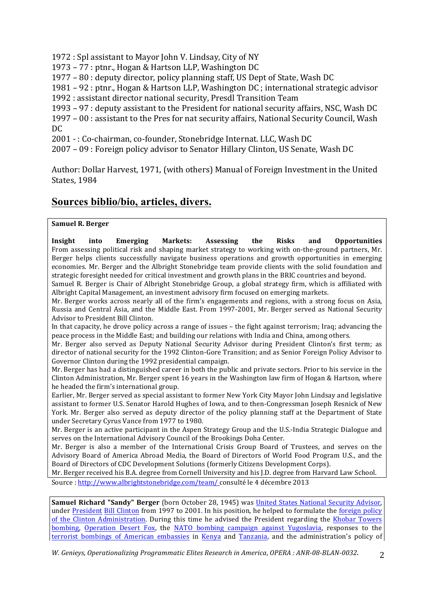1972 : Spl assistant to Mayor John V. Lindsay, City of NY

1973 – 77 : ptnr., Hogan & Hartson LLP, Washington DC

 $1977 - 80$ : deputy director, policy planning staff, US Dept of State, Wash DC

1981 – 92 : ptnr., Hogan & Hartson LLP, Washington DC ; international strategic advisor

1992 : assistant director national security, Presdl Transition Team

 $1993 - 97$ : deputy assistant to the President for national security affairs, NSC, Wash DC

 $1997 - 00$  : assistant to the Pres for nat security affairs, National Security Council, Wash DC

2001 - : Co-chairman, co-founder, Stonebridge Internat. LLC, Wash DC

2007 – 09 : Foreign policy advisor to Senator Hillary Clinton, US Senate, Wash DC

Author: Dollar Harvest, 1971, (with others) Manual of Foreign Investment in the United States, 1984

### **Sources biblio/bio, articles, divers.**

#### **Samuel R. Berger**

**Insight** into Emerging Markets: Assessing the Risks and Opportunities From assessing political risk and shaping market strategy to working with on-the-ground partners, Mr. Berger helps clients successfully navigate business operations and growth opportunities in emerging economies. Mr. Berger and the Albright Stonebridge team provide clients with the solid foundation and strategic foresight needed for critical investment and growth plans in the BRIC countries and beyond.

Samuel R. Berger is Chair of Albright Stonebridge Group, a global strategy firm, which is affiliated with Albright Capital Management, an investment advisory firm focused on emerging markets.

Mr. Berger works across nearly all of the firm's engagements and regions, with a strong focus on Asia. Russia and Central Asia, and the Middle East. From 1997-2001, Mr. Berger served as National Security Advisor to President Bill Clinton.

In that capacity, he drove policy across a range of issues  $-$  the fight against terrorism; Iraq; advancing the peace process in the Middle East; and building our relations with India and China, among others.

Mr. Berger also served as Deputy National Security Advisor during President Clinton's first term; as director of national security for the 1992 Clinton-Gore Transition; and as Senior Foreign Policy Advisor to Governor Clinton during the 1992 presidential campaign.

Mr. Berger has had a distinguished career in both the public and private sectors. Prior to his service in the Clinton Administration, Mr. Berger spent 16 years in the Washington law firm of Hogan & Hartson, where he headed the firm's international group.

Earlier, Mr. Berger served as special assistant to former New York City Mayor John Lindsay and legislative assistant to former U.S. Senator Harold Hughes of Iowa, and to then-Congressman Joseph Resnick of New York. Mr. Berger also served as deputy director of the policy planning staff at the Department of State under Secretary Cyrus Vance from 1977 to 1980.

Mr. Berger is an active participant in the Aspen Strategy Group and the U.S.-India Strategic Dialogue and serves on the International Advisory Council of the Brookings Doha Center.

Mr. Berger is also a member of the International Crisis Group Board of Trustees, and serves on the Advisory Board of America Abroad Media, the Board of Directors of World Food Program U.S., and the Board of Directors of CDC Development Solutions (formerly Citizens Development Corps).

Mr. Berger received his B.A. degree from Cornell University and his J.D. degree from Harvard Law School. Source : http://www.albrightstonebridge.com/team/ consulté le 4 décembre 2013

**Samuel Richard "Sandy" Berger** (born October 28, 1945) was United States National Security Advisor, under President Bill Clinton from 1997 to 2001. In his position, he helped to formulate the foreign policy of the Clinton Administration. During this time he advised the President regarding the Khobar Towers bombing, Operation Desert Fox, the NATO bombing campaign against Yugoslavia, responses to the terrorist bombings of American embassies in Kenya and Tanzania, and the administration's policy of

*W. Genieys, Operationalizing Programmatic Elites Research in America, OPERA*: ANR-08-BLAN-0032. 2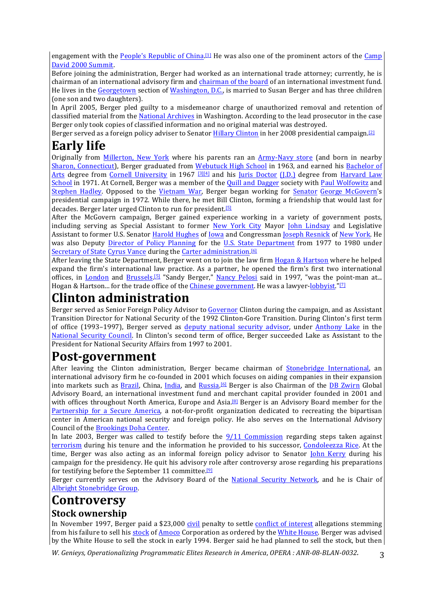engagement with the People's Republic of China.<sup>[1]</sup> He was also one of the prominent actors of the Camp David 2000 Summit.

Before joining the administration, Berger had worked as an international trade attorney; currently, he is chairman of an international advisory firm and chairman of the board of an international investment fund. He lives in the Georgetown section of Washington, D.C., is married to Susan Berger and has three children (one son and two daughters).

In April 2005, Berger pled guilty to a misdemeanor charge of unauthorized removal and retention of classified material from the National Archives in Washington. According to the lead prosecutor in the case Berger only took copies of classified information and no original material was destroyed.

Berger served as a foreign policy adviser to Senator Hillary Clinton in her 2008 presidential campaign.<sup>[2]</sup>

# **Early life**

Originally from Millerton, New York where his parents ran an Army-Navy store (and born in nearby Sharon, Connecticut), Berger graduated from Webutuck High School in 1963, and earned his Bachelor of Arts degree from Cornell University in 1967  $\frac{31[4]}{4}$  and his Juris Doctor (J.D.) degree from Harvard Law School in 1971. At Cornell, Berger was a member of the Quill and Dagger society with Paul Wolfowitz and Stephen Hadley. Opposed to the Vietnam War, Berger began working for Senator George McGovern's presidential campaign in 1972. While there, he met Bill Clinton, forming a friendship that would last for decades. Berger later urged Clinton to run for president.<sup>[5]</sup>

After the McGovern campaign, Berger gained experience working in a variety of government posts, including serving as Special Assistant to former New York City Mayor John Lindsay and Legislative Assistant to former U.S. Senator Harold Hughes of Iowa and Congressman Joseph Resnick of New York. He was also Deputy Director of Policy Planning for the U.S. State Department from 1977 to 1980 under Secretary of State Cyrus Vance during the Carter administration.<sup>[6]</sup>

After leaving the State Department, Berger went on to join the law firm Hogan & Hartson where he helped expand the firm's international law practice. As a partner, he opened the firm's first two international offices, in London and Brussels.<sup>[5]</sup> "Sandy Berger," Nancy Pelosi said in 1997, "was the point-man at... Hogan & Hartson... for the trade office of the Chinese government. He was a lawyer-lobbyist."<sup>[7]</sup>

# **Clinton administration**

Berger served as Senior Foreign Policy Advisor to Governor Clinton during the campaign, and as Assistant Transition Director for National Security of the 1992 Clinton-Gore Transition. During Clinton's first term of office (1993–1997), Berger served as deputy national security advisor, under Anthony Lake in the National Security Council. In Clinton's second term of office, Berger succeeded Lake as Assistant to the President for National Security Affairs from 1997 to 2001.

# **Post-government**

After leaving the Clinton administration, Berger became chairman of Stonebridge International, an international advisory firm he co-founded in 2001 which focuses on aiding companies in their expansion into markets such as Brazil, China, India, and Russia.<sup>[6]</sup> Berger is also Chairman of the DB Zwirn Global Advisory Board, an international investment fund and merchant capital provider founded in 2001 and with offices throughout North America, Europe and Asia.<sup>[8]</sup> Berger is an Advisory Board member for the Partnership for a Secure America, a not-for-profit organization dedicated to recreating the bipartisan center in American national security and foreign policy. He also serves on the International Advisory Council of the Brookings Doha Center.

In late 2003, Berger was called to testify before the  $9/11$  Commission regarding steps taken against terrorism during his tenure and the information he provided to his successor, Condoleezza Rice. At the time, Berger was also acting as an informal foreign policy advisor to Senator John Kerry during his campaign for the presidency. He quit his advisory role after controversy arose regarding his preparations for testifying before the September 11 committee.<sup>[9]</sup>

Berger currently serves on the Advisory Board of the National Security Network, and he is Chair of Albright Stonebridge Group.

# **Controversy**

#### **Stock ownership**

In November 1997, Berger paid a \$23,000 civil penalty to settle conflict of interest allegations stemming from his failure to sell his stock of Amoco Corporation as ordered by the White House. Berger was advised by the White House to sell the stock in early 1994. Berger said he had planned to sell the stock, but then

*W.* Genieys, Operationalizing Programmatic Elites Research in America, OPERA : ANR-08-BLAN-0032. 3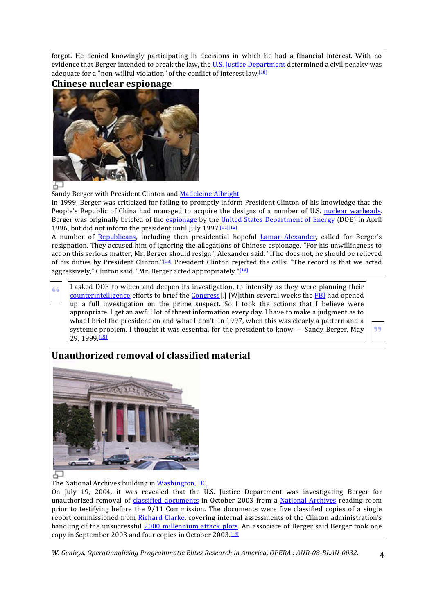forgot. He denied knowingly participating in decisions in which he had a financial interest. With no evidence that Berger intended to break the law, the U.S. Justice Department determined a civil penalty was adequate for a "non-willful violation" of the conflict of interest law.<sup>[10]</sup>





#### 6–

Sandy Berger with President Clinton and Madeleine Albright

In 1999, Berger was criticized for failing to promptly inform President Clinton of his knowledge that the People's Republic of China had managed to acquire the designs of a number of U.S. nuclear warheads. Berger was originally briefed of the **espionage** by the *United States Department of Energy (DOE)* in April 1996, but did not inform the president until July 1997 [11][12]

A number of Republicans, including then presidential hopeful Lamar Alexander, called for Berger's resignation. They accused him of ignoring the allegations of Chinese espionage. "For his unwillingness to act on this serious matter, Mr. Berger should resign", Alexander said. "If he does not, he should be relieved of his duties by President Clinton."[13] President Clinton rejected the calls: "The record is that we acted aggressively," Clinton said. "Mr. Berger acted appropriately." $[14]$ 

**T** asked DOE to widen and deepen its investigation, to intensify as they were planning their counterintelligence efforts to brief the Congress[.] [W]ithin several weeks the **FBI** had opened up a full investigation on the prime suspect. So I took the actions that I believe were appropriate. I get an awful lot of threat information every day. I have to make a judgment as to what I brief the president on and what I don't. In 1997, when this was clearly a pattern and a systemic problem, I thought it was essential for the president to know  $-$  Sandy Berger, May 29, 1999.[15]

**"**

### **Unauthorized removal of classified material**



The National Archives building in Washington, DC

On July 19, 2004, it was revealed that the U.S. Justice Department was investigating Berger for unauthorized removal of classified documents in October 2003 from a National Archives reading room prior to testifying before the  $9/11$  Commission. The documents were five classified copies of a single report commissioned from Richard Clarke, covering internal assessments of the Clinton administration's handling of the unsuccessful 2000 millennium attack plots. An associate of Berger said Berger took one copy in September 2003 and four copies in October 2003.<sup>[16]</sup>

*W.* Genieys, Operationalizing Programmatic Elites Research in America, OPERA : ANR-08-BLAN-0032. 4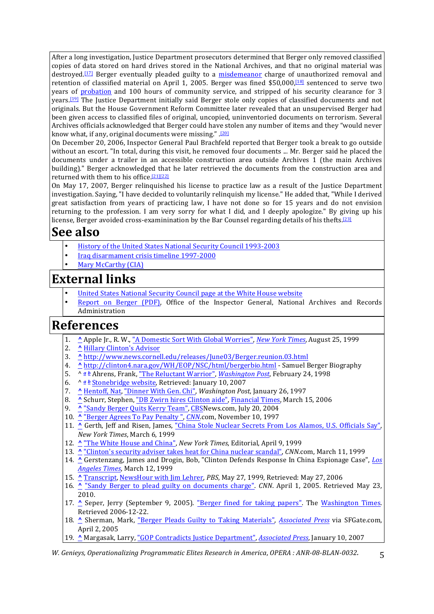After a long investigation, Justice Department prosecutors determined that Berger only removed classified copies of data stored on hard drives stored in the National Archives, and that no original material was destroyed.<sup>[17]</sup> Berger eventually pleaded guilty to a *misdemeanor* charge of unauthorized removal and retention of classified material on April 1, 2005. Berger was fined  $$50,000,$ <sup>[18]</sup> sentenced to serve two years of probation and 100 hours of community service, and stripped of his security clearance for 3 years.<sup>[19]</sup> The Justice Department initially said Berger stole only copies of classified documents and not originals. But the House Government Reform Committee later revealed that an unsupervised Berger had been given access to classified files of original, uncopied, uninventoried documents on terrorism. Several Archives officials acknowledged that Berger could have stolen any number of items and they "would never know what, if any, original documents were missing.". [20]

On December 20, 2006, Inspector General Paul Brachfeld reported that Berger took a break to go outside without an escort. "In total, during this visit, he removed four documents ... Mr. Berger said he placed the documents under a trailer in an accessible construction area outside Archives 1 (the main Archives building)." Berger acknowledged that he later retrieved the documents from the construction area and returned with them to his office.<sup>[21][22]</sup>

On May 17, 2007, Berger relinquished his license to practice law as a result of the Justice Department investigation. Saying, "I have decided to voluntarily relinquish my license." He added that, "While I derived great satisfaction from years of practicing law, I have not done so for 15 years and do not envision returning to the profession. I am very sorry for what I did, and I deeply apologize." By giving up his license, Berger avoided cross-examinination by the Bar Counsel regarding details of his thefts.<sup>[23]</sup>

# **See also**

- History of the United States National Security Council 1993-2003
- Iraq disarmament crisis timeline 1997-2000
- Mary McCarthy (CIA)

# **External links**

- United States National Security Council page at the White House website
- Report on Berger (PDF), Office of the Inspector General, National Archives and Records Administration

# **References**

- 1. **^** Apple Jr., R. W., "A Domestic Sort With Global Worries", *New York Times*, August 25, 1999
- 2. **^** Hillary Clinton's Advisor
- 3. **^** http://www.news.cornell.edu/releases/June03/Berger.reunion.03.html
- 4. **^** http://clinton4.nara.gov/WH/EOP/NSC/html/bergerbio.html Samuel Berger Biography
- 5. ^ *a b* Ahrens, Frank, "The Reluctant Warrior", *Washington Post*, February 24, 1998
- 6. ^ <u>a b</u> Stonebridge website, Retrieved: January 10, 2007
- 7. **^** Hentoff, Nat, "Dinner With Gen. Chi", *Washington Post*, January 26, 1997
- 8. ^ Schurr, Stephen, "DB Zwirn hires Clinton aide", Financial Times, March 15, 2006
- 9. <u>^ "Sandy Berger Quits Kerry Team", CBS</u>News.com, July 20, 2004
- 10. <u>^ "Berger Agrees To Pay Penalty ", CNN</u>.com, November 10, 1997
- 11. ^ Gerth, Jeff and Risen, James, "China Stole Nuclear Secrets From Los Alamos, U.S. Officials Say", *New York Times*, March 6, 1999
- 12. **^** "The White House and China", *New York Times*, Editorial, April 9, 1999
- 13. **A** "Clinton's security adviser takes heat for China nuclear scandal", *CNN*.com, March 11, 1999
- 14. ^ Gerstenzang, James and Drogin, Bob, "Clinton Defends Response In China Espionage Case", *Los Angeles Times*, March 12, 1999
- 15. **^** Transcript, NewsHour with Jim Lehrer, *PBS*, May 27, 1999, Retrieved: May 27, 2006
- 16. **^** "Sandy Berger to plead guilty on documents charge". CNN. April 1, 2005. Retrieved May 23, 2010.
- 17. <u>A</u> Seper, Jerry (September 9, 2005). "Berger fined for taking papers". The Washington Times. Retrieved 2006-12-22.
- 18. *^* Sherman, Mark, "Berger Pleads Guilty to Taking Materials", *Associated Press* via SFGate.com, April 2, 2005
- 19. **^** Margasak, Larry, "GOP Contradicts Justice Department", *Associated Press*, January 10, 2007

*W. Genieys, Operationalizing Programmatic Elites Research in America, OPERA*: ANR-08-BLAN-0032. 5